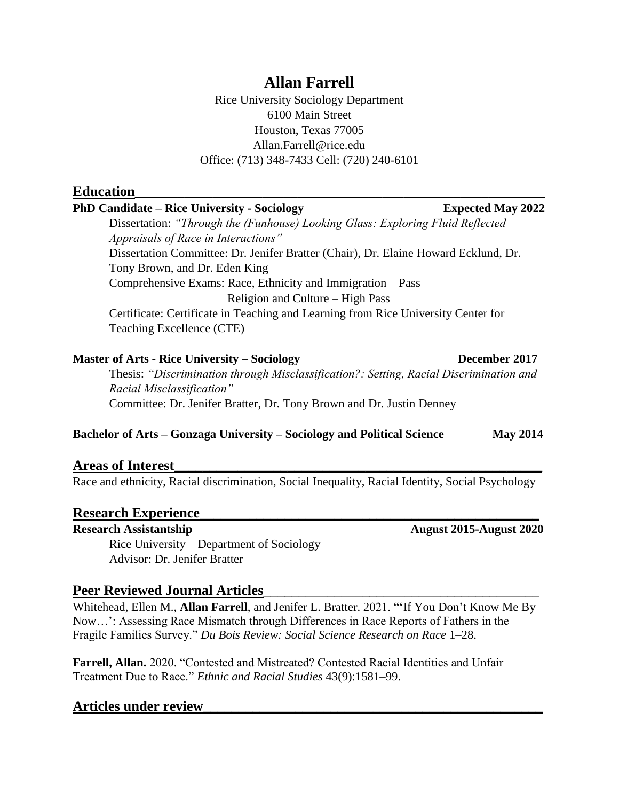# **Allan Farrell**

Rice University Sociology Department 6100 Main Street Houston, Texas 77005 Allan.Farrell@rice.edu Office: (713) 348-7433 Cell: (720) 240-6101

## **Education**

### PhD Candidate – Rice University - Sociology **Expected May 2022**

Dissertation: *"Through the (Funhouse) Looking Glass: Exploring Fluid Reflected Appraisals of Race in Interactions"* Dissertation Committee: Dr. Jenifer Bratter (Chair), Dr. Elaine Howard Ecklund, Dr. Tony Brown, and Dr. Eden King Comprehensive Exams: Race, Ethnicity and Immigration – Pass Religion and Culture – High Pass Certificate: Certificate in Teaching and Learning from Rice University Center for Teaching Excellence (CTE)

#### **Master of Arts - Rice University – Sociology <b>December 2017**

Thesis: *"Discrimination through Misclassification?: Setting, Racial Discrimination and Racial Misclassification"* Committee: Dr. Jenifer Bratter, Dr. Tony Brown and Dr. Justin Denney

#### **Bachelor of Arts – Gonzaga University – Sociology and Political Science May 2014**

### **Areas of Interest\_\_\_\_\_\_\_\_\_\_\_\_\_\_\_\_\_\_\_\_\_\_\_\_\_\_\_\_\_\_\_\_\_\_\_\_\_\_\_\_\_\_\_\_\_\_\_\_\_\_\_\_**

Race and ethnicity, Racial discrimination, Social Inequality, Racial Identity, Social Psychology

### **Research Experience\_\_\_\_\_\_\_\_\_\_\_\_\_\_\_\_\_\_\_\_\_\_\_\_\_\_\_\_\_\_\_\_\_\_\_\_\_\_\_\_\_\_\_\_\_\_\_\_**

Rice University – Department of Sociology Advisor: Dr. Jenifer Bratter

# Peer Reviewed Journal Articles

Whitehead, Ellen M., **Allan Farrell**, and Jenifer L. Bratter. 2021. "'If You Don't Know Me By Now…': Assessing Race Mismatch through Differences in Race Reports of Fathers in the Fragile Families Survey." *Du Bois Review: Social Science Research on Race* 1–28.

**Farrell, Allan.** 2020. "Contested and Mistreated? Contested Racial Identities and Unfair Treatment Due to Race." *Ethnic and Racial Studies* 43(9):1581–99.

### **Articles under review\_\_\_\_\_\_\_\_\_\_\_\_\_\_\_\_\_\_\_\_\_\_\_\_\_\_\_\_\_\_\_\_\_\_\_\_\_\_\_\_\_\_\_\_\_\_\_\_**

**Research Assistantship August 2015-August 2020**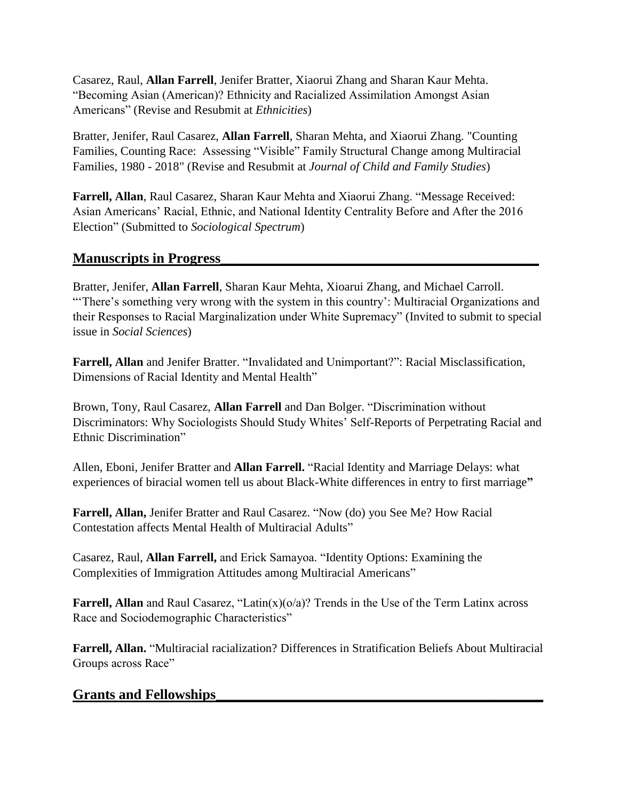Casarez, Raul, **Allan Farrell**, Jenifer Bratter, Xiaorui Zhang and Sharan Kaur Mehta. "Becoming Asian (American)? Ethnicity and Racialized Assimilation Amongst Asian Americans" (Revise and Resubmit at *Ethnicities*)

Bratter, Jenifer, Raul Casarez, **Allan Farrell**, Sharan Mehta, and Xiaorui Zhang. "Counting Families, Counting Race: Assessing "Visible" Family Structural Change among Multiracial Families, 1980 - 2018" (Revise and Resubmit at *Journal of Child and Family Studies*)

**Farrell, Allan**, Raul Casarez, Sharan Kaur Mehta and Xiaorui Zhang. "Message Received: Asian Americans' Racial, Ethnic, and National Identity Centrality Before and After the 2016 Election" (Submitted to *Sociological Spectrum*)

# **Manuscripts in Progress\_\_\_\_\_\_\_\_\_\_\_\_\_\_\_\_\_\_\_\_\_\_\_\_\_\_\_\_\_\_\_\_\_\_\_\_\_\_\_\_\_\_\_\_\_**

Bratter, Jenifer, **Allan Farrell**, Sharan Kaur Mehta, Xioarui Zhang, and Michael Carroll. "There's something very wrong with the system in this country': Multiracial Organizations and their Responses to Racial Marginalization under White Supremacy" (Invited to submit to special issue in *Social Sciences*)

**Farrell, Allan** and Jenifer Bratter. "Invalidated and Unimportant?": Racial Misclassification, Dimensions of Racial Identity and Mental Health"

Brown, Tony, Raul Casarez, **Allan Farrell** and Dan Bolger. "Discrimination without Discriminators: Why Sociologists Should Study Whites' Self-Reports of Perpetrating Racial and Ethnic Discrimination"

Allen, Eboni, Jenifer Bratter and **Allan Farrell.** "Racial Identity and Marriage Delays: what experiences of biracial women tell us about Black-White differences in entry to first marriage**"**

**Farrell, Allan,** Jenifer Bratter and Raul Casarez. "Now (do) you See Me? How Racial Contestation affects Mental Health of Multiracial Adults"

Casarez, Raul, **Allan Farrell,** and Erick Samayoa. "Identity Options: Examining the Complexities of Immigration Attitudes among Multiracial Americans"

Farrell, Allan and Raul Casarez, "Latin(x)(o/a)? Trends in the Use of the Term Latinx across Race and Sociodemographic Characteristics"

**Farrell, Allan.** "Multiracial racialization? Differences in Stratification Beliefs About Multiracial Groups across Race"

# **Grants and Fellowships\_\_\_\_\_\_\_\_\_\_\_\_\_\_\_\_\_\_\_\_\_\_\_\_\_\_\_\_\_\_\_\_\_\_\_\_\_\_\_\_\_\_\_\_\_\_\_\_\_\_\_\_\_\_**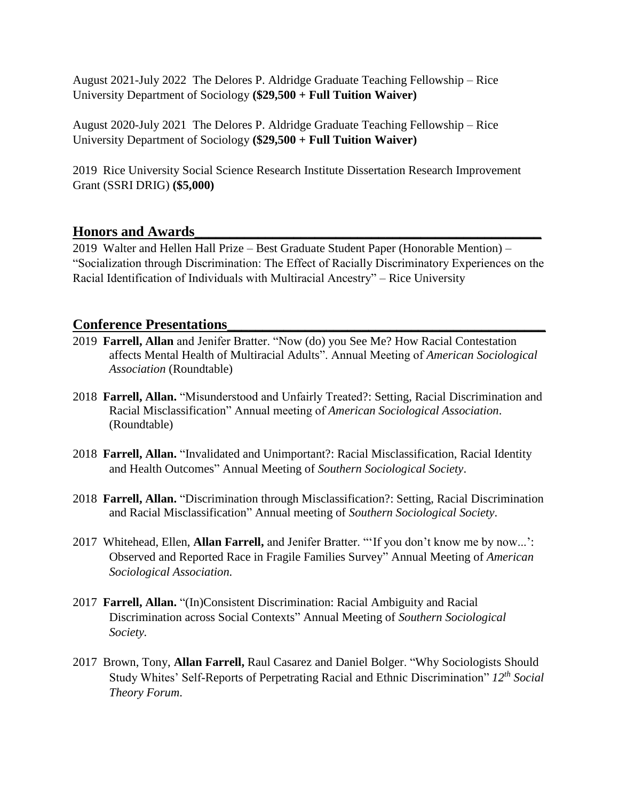August 2021-July 2022 The Delores P. Aldridge Graduate Teaching Fellowship – Rice University Department of Sociology **(\$29,500 + Full Tuition Waiver)**

August 2020-July 2021 The Delores P. Aldridge Graduate Teaching Fellowship – Rice University Department of Sociology **(\$29,500 + Full Tuition Waiver)**

2019 Rice University Social Science Research Institute Dissertation Research Improvement Grant (SSRI DRIG) **(\$5,000)**

# **Honors and Awards\_\_\_\_\_\_\_\_\_\_\_\_\_\_\_\_\_\_\_\_\_\_\_\_\_\_\_\_\_\_\_\_\_\_\_\_\_\_\_\_\_\_\_\_\_\_\_\_\_**

2019 Walter and Hellen Hall Prize – Best Graduate Student Paper (Honorable Mention) – "Socialization through Discrimination: The Effect of Racially Discriminatory Experiences on the Racial Identification of Individuals with Multiracial Ancestry" – Rice University

# **Conference Presentations\_\_\_\_\_\_\_\_\_\_\_\_\_\_\_\_\_\_\_\_\_\_\_\_\_\_\_\_\_\_\_\_\_\_\_\_\_\_\_\_\_\_\_\_\_**

- 2019 **Farrell, Allan** and Jenifer Bratter. "Now (do) you See Me? How Racial Contestation affects Mental Health of Multiracial Adults". Annual Meeting of *American Sociological Association* (Roundtable)
- 2018 **Farrell, Allan.** "Misunderstood and Unfairly Treated?: Setting, Racial Discrimination and Racial Misclassification" Annual meeting of *American Sociological Association*. (Roundtable)
- 2018 **Farrell, Allan.** "Invalidated and Unimportant?: Racial Misclassification, Racial Identity and Health Outcomes" Annual Meeting of *Southern Sociological Society*.
- 2018 **Farrell, Allan.** "Discrimination through Misclassification?: Setting, Racial Discrimination and Racial Misclassification" Annual meeting of *Southern Sociological Society*.
- 2017 Whitehead, Ellen, **Allan Farrell,** and Jenifer Bratter. "'If you don't know me by now...': Observed and Reported Race in Fragile Families Survey" Annual Meeting of *American Sociological Association.*
- 2017 **Farrell, Allan.** "(In)Consistent Discrimination: Racial Ambiguity and Racial Discrimination across Social Contexts" Annual Meeting of *Southern Sociological Society.*
- 2017 Brown, Tony, **Allan Farrell,** Raul Casarez and Daniel Bolger. "Why Sociologists Should Study Whites' Self-Reports of Perpetrating Racial and Ethnic Discrimination" *12th Social Theory Forum*.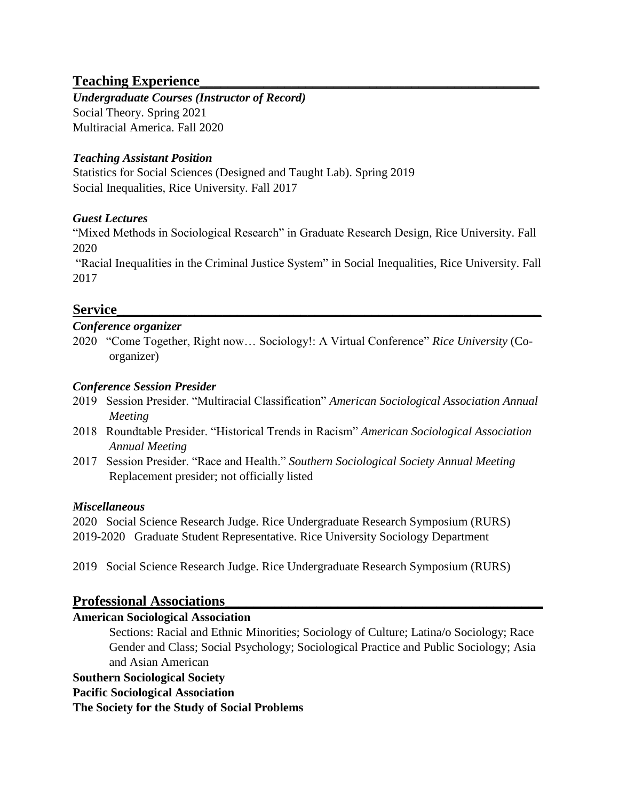# **Teaching Experience\_\_\_\_\_\_\_\_\_\_\_\_\_\_\_\_\_\_\_\_\_\_\_\_\_\_\_\_\_\_\_\_\_\_\_\_\_\_\_\_\_\_\_\_\_\_\_\_**

*Undergraduate Courses (Instructor of Record)* Social Theory. Spring 2021 Multiracial America. Fall 2020

### *Teaching Assistant Position*

Statistics for Social Sciences (Designed and Taught Lab). Spring 2019 Social Inequalities, Rice University. Fall 2017

## *Guest Lectures*

"Mixed Methods in Sociological Research" in Graduate Research Design, Rice University. Fall 2020

"Racial Inequalities in the Criminal Justice System" in Social Inequalities, Rice University. Fall 2017

# **Service\_\_\_\_\_\_\_\_\_\_\_\_\_\_\_\_\_\_\_\_\_\_\_\_\_\_\_\_\_\_\_\_\_\_\_\_\_\_\_\_\_\_\_\_\_\_\_\_\_\_\_\_\_\_\_\_\_\_\_\_**

### *Conference organizer*

2020 "Come Together, Right now… Sociology!: A Virtual Conference" *Rice University* (Coorganizer)

### *Conference Session Presider*

- 2019 Session Presider. "Multiracial Classification" *American Sociological Association Annual Meeting*
- 2018 Roundtable Presider. "Historical Trends in Racism" *American Sociological Association Annual Meeting*
- 2017 Session Presider. "Race and Health." *Southern Sociological Society Annual Meeting* Replacement presider; not officially listed

### *Miscellaneous*

2020 Social Science Research Judge. Rice Undergraduate Research Symposium (RURS) 2019-2020 Graduate Student Representative. Rice University Sociology Department

2019 Social Science Research Judge. Rice Undergraduate Research Symposium (RURS)

# **Professional Associations\_\_\_\_\_\_\_\_\_\_\_\_\_\_\_\_\_\_\_\_\_\_\_\_\_\_\_\_\_\_\_\_\_\_\_\_\_\_\_\_\_\_\_\_\_**

### **American Sociological Association**

Sections: Racial and Ethnic Minorities; Sociology of Culture; Latina/o Sociology; Race Gender and Class; Social Psychology; Sociological Practice and Public Sociology; Asia and Asian American

### **Southern Sociological Society**

### **Pacific Sociological Association**

**The Society for the Study of Social Problems**